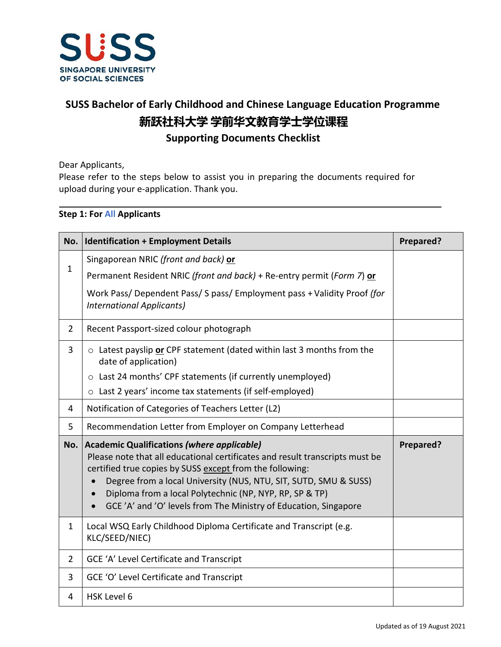

## **SUSS Bachelor of Early Childhood and Chinese Language Education Programme 新跃社科大学 学前华文教育学士学位课程 Supporting Documents Checklist**

Dear Applicants,

Please refer to the steps below to assist you in preparing the documents required for upload during your e-application. Thank you.

## **Step 1: For All Applicants**

| No.            | <b>Identification + Employment Details</b>                                                                                                                                                                                                                                                                                                                                                                                 | Prepared? |
|----------------|----------------------------------------------------------------------------------------------------------------------------------------------------------------------------------------------------------------------------------------------------------------------------------------------------------------------------------------------------------------------------------------------------------------------------|-----------|
| $\mathbf{1}$   | Singaporean NRIC (front and back) or                                                                                                                                                                                                                                                                                                                                                                                       |           |
|                | Permanent Resident NRIC (front and back) + Re-entry permit (Form 7) or                                                                                                                                                                                                                                                                                                                                                     |           |
|                | Work Pass/ Dependent Pass/ S pass/ Employment pass + Validity Proof (for<br><b>International Applicants)</b>                                                                                                                                                                                                                                                                                                               |           |
| $\overline{2}$ | Recent Passport-sized colour photograph                                                                                                                                                                                                                                                                                                                                                                                    |           |
| 3              | $\circ$ Latest payslip or CPF statement (dated within last 3 months from the<br>date of application)                                                                                                                                                                                                                                                                                                                       |           |
|                | ○ Last 24 months' CPF statements (if currently unemployed)                                                                                                                                                                                                                                                                                                                                                                 |           |
|                | o Last 2 years' income tax statements (if self-employed)                                                                                                                                                                                                                                                                                                                                                                   |           |
| 4              | Notification of Categories of Teachers Letter (L2)                                                                                                                                                                                                                                                                                                                                                                         |           |
| 5              | Recommendation Letter from Employer on Company Letterhead                                                                                                                                                                                                                                                                                                                                                                  |           |
| No.            | <b>Academic Qualifications (where applicable)</b><br>Please note that all educational certificates and result transcripts must be<br>certified true copies by SUSS except from the following:<br>Degree from a local University (NUS, NTU, SIT, SUTD, SMU & SUSS)<br>$\bullet$<br>Diploma from a local Polytechnic (NP, NYP, RP, SP & TP)<br>$\bullet$<br>GCE 'A' and 'O' levels from The Ministry of Education, Singapore | Prepared? |
| $\mathbf{1}$   | Local WSQ Early Childhood Diploma Certificate and Transcript (e.g.<br>KLC/SEED/NIEC)                                                                                                                                                                                                                                                                                                                                       |           |
| $\overline{2}$ | GCE 'A' Level Certificate and Transcript                                                                                                                                                                                                                                                                                                                                                                                   |           |
| 3              | GCE 'O' Level Certificate and Transcript                                                                                                                                                                                                                                                                                                                                                                                   |           |
| 4              | <b>HSK Level 6</b>                                                                                                                                                                                                                                                                                                                                                                                                         |           |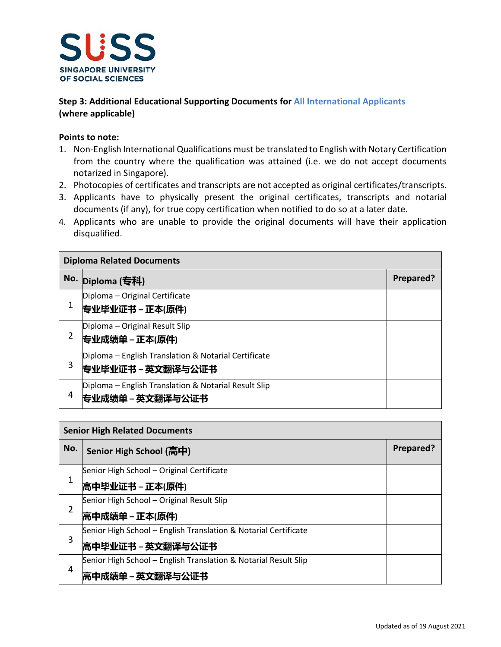

## **Step 3: Additional Educational Supporting Documents for All International Applicants (where applicable)**

## **Points to note:**

- 1. Non-English International Qualifications must be translated to English with Notary Certification from the country where the qualification was attained (i.e. we do not accept documents notarized in Singapore).
- 2. Photocopies of certificates and transcripts are not accepted as original certificates/transcripts.
- 3. Applicants have to physically present the original certificates, transcripts and notarial documents (if any), for true copy certification when notified to do so at a later date.
- 4. Applicants who are unable to provide the original documents will have their application disqualified.

| <b>Diploma Related Documents</b> |                                                                            |           |  |
|----------------------------------|----------------------------------------------------------------------------|-----------|--|
|                                  | No. Diploma (专科)                                                           | Prepared? |  |
| 1                                | Diploma - Original Certificate<br>专业毕业证书 – 正本(原件)                          |           |  |
| 2                                | Diploma - Original Result Slip<br>专业成绩单 – 正本(原件)                           |           |  |
| 3                                | Diploma - English Translation & Notarial Certificate<br> 专业毕业证书 – 英文翻译与公证书 |           |  |
| 4                                | Diploma – English Translation & Notarial Result Slip<br> 专业成绩单 – 英文翻译与公证书  |           |  |

| <b>Senior High Related Documents</b> |                                                                 |           |
|--------------------------------------|-----------------------------------------------------------------|-----------|
| No.                                  | Senior High School (高中)                                         | Prepared? |
| 1                                    | Senior High School - Original Certificate                       |           |
|                                      | 高中毕业证书 − 正本(原件)                                                 |           |
| 2                                    | Senior High School - Original Result Slip                       |           |
|                                      | 高中成绩单 − 正本(原件)                                                  |           |
| 3                                    | Senior High School – English Translation & Notarial Certificate |           |
|                                      | 高中毕业证书 – 英文翻译与公证书                                               |           |
| 4                                    | Senior High School - English Translation & Notarial Result Slip |           |
|                                      | 高中成绩单 – 英文翻译与公证书                                                |           |